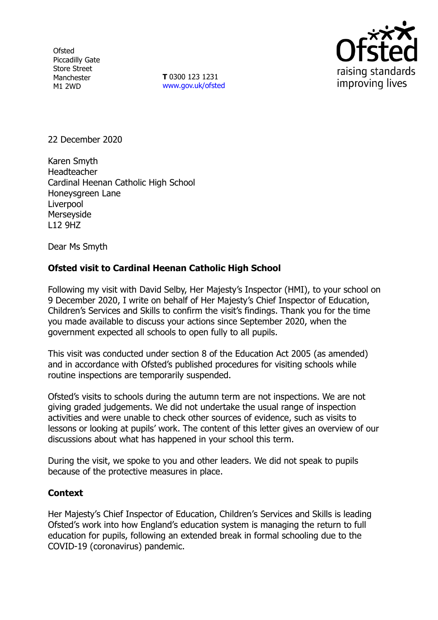**Ofsted** Piccadilly Gate Store Street Manchester M1 2WD

**T** 0300 123 1231 [www.gov.uk/ofsted](http://www.gov.uk/ofsted)



22 December 2020

Karen Smyth Headteacher Cardinal Heenan Catholic High School Honeysgreen Lane **Liverpool Merseyside** L12 9HZ

Dear Ms Smyth

## **Ofsted visit to Cardinal Heenan Catholic High School**

Following my visit with David Selby, Her Majesty's Inspector (HMI), to your school on 9 December 2020, I write on behalf of Her Majesty's Chief Inspector of Education, Children's Services and Skills to confirm the visit's findings. Thank you for the time you made available to discuss your actions since September 2020, when the government expected all schools to open fully to all pupils.

This visit was conducted under section 8 of the Education Act 2005 (as amended) and in accordance with Ofsted's published procedures for visiting schools while routine inspections are temporarily suspended.

Ofsted's visits to schools during the autumn term are not inspections. We are not giving graded judgements. We did not undertake the usual range of inspection activities and were unable to check other sources of evidence, such as visits to lessons or looking at pupils' work. The content of this letter gives an overview of our discussions about what has happened in your school this term.

During the visit, we spoke to you and other leaders. We did not speak to pupils because of the protective measures in place.

## **Context**

Her Majesty's Chief Inspector of Education, Children's Services and Skills is leading Ofsted's work into how England's education system is managing the return to full education for pupils, following an extended break in formal schooling due to the COVID-19 (coronavirus) pandemic.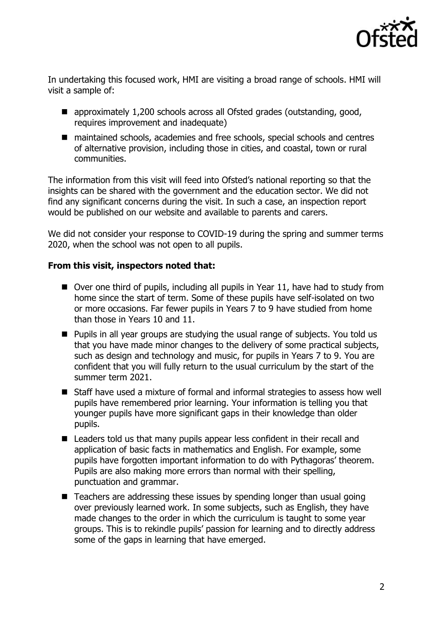

In undertaking this focused work, HMI are visiting a broad range of schools. HMI will visit a sample of:

- approximately 1,200 schools across all Ofsted grades (outstanding, good, requires improvement and inadequate)
- maintained schools, academies and free schools, special schools and centres of alternative provision, including those in cities, and coastal, town or rural communities.

The information from this visit will feed into Ofsted's national reporting so that the insights can be shared with the government and the education sector. We did not find any significant concerns during the visit. In such a case, an inspection report would be published on our website and available to parents and carers.

We did not consider your response to COVID-19 during the spring and summer terms 2020, when the school was not open to all pupils.

## **From this visit, inspectors noted that:**

- $\blacksquare$  Over one third of pupils, including all pupils in Year 11, have had to study from home since the start of term. Some of these pupils have self-isolated on two or more occasions. Far fewer pupils in Years 7 to 9 have studied from home than those in Years 10 and 11.
- Pupils in all year groups are studying the usual range of subjects. You told us that you have made minor changes to the delivery of some practical subjects, such as design and technology and music, for pupils in Years 7 to 9. You are confident that you will fully return to the usual curriculum by the start of the summer term 2021.
- Staff have used a mixture of formal and informal strategies to assess how well pupils have remembered prior learning. Your information is telling you that younger pupils have more significant gaps in their knowledge than older pupils.
- Leaders told us that many pupils appear less confident in their recall and application of basic facts in mathematics and English. For example, some pupils have forgotten important information to do with Pythagoras' theorem. Pupils are also making more errors than normal with their spelling, punctuation and grammar.
- Teachers are addressing these issues by spending longer than usual going over previously learned work. In some subjects, such as English, they have made changes to the order in which the curriculum is taught to some year groups. This is to rekindle pupils' passion for learning and to directly address some of the gaps in learning that have emerged.